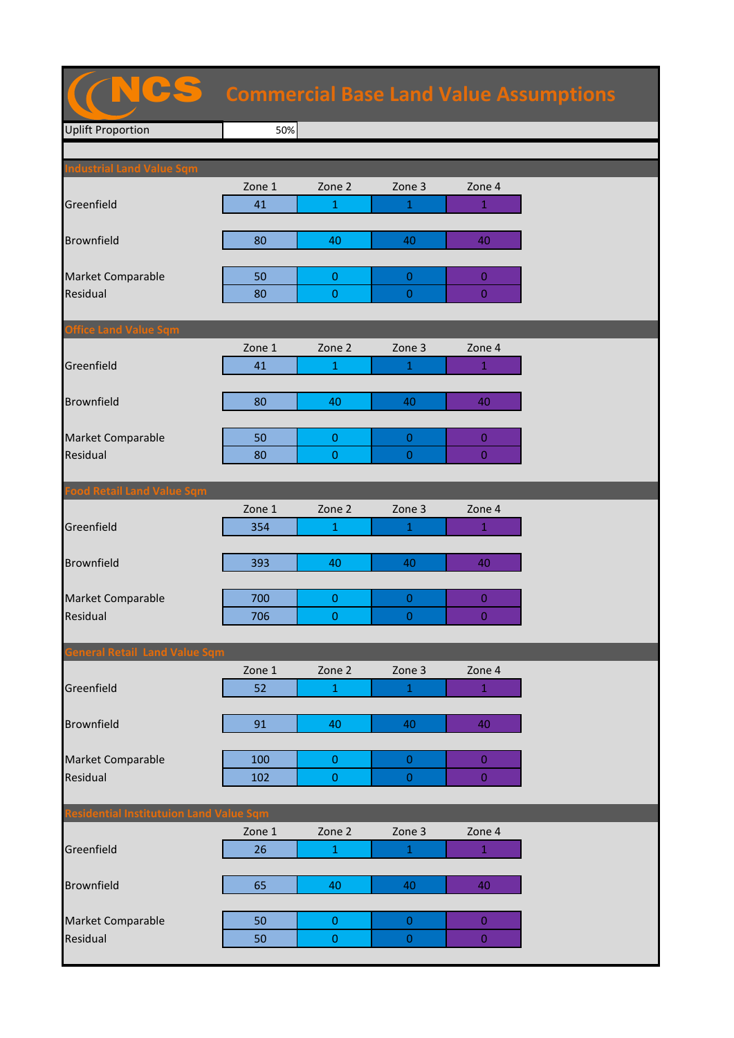|                                                |        |                |                  |                  | <b>Commercial Base Land Value Assumptions</b> |
|------------------------------------------------|--------|----------------|------------------|------------------|-----------------------------------------------|
| <b>Uplift Proportion</b>                       | 50%    |                |                  |                  |                                               |
|                                                |        |                |                  |                  |                                               |
| <b>Industrial Land Value Sqm</b>               | Zone 1 | Zone 2         | Zone 3           | Zone 4           |                                               |
| Greenfield                                     | 41     | 1              | 1                | 1                |                                               |
|                                                |        |                |                  |                  |                                               |
| <b>Brownfield</b>                              | 80     | 40             | 40               | 40               |                                               |
|                                                |        |                |                  |                  |                                               |
| Market Comparable                              | 50     | $\mathbf{0}$   | $\mathbf{0}$     | $\overline{0}$   |                                               |
| Residual                                       | 80     | $\pmb{0}$      | $\overline{0}$   | $\boldsymbol{0}$ |                                               |
|                                                |        |                |                  |                  |                                               |
| <b>Office Land Value Sqm</b>                   |        |                |                  |                  |                                               |
|                                                | Zone 1 | Zone 2         | Zone 3           | Zone 4           |                                               |
| Greenfield                                     | 41     | 1              | 1                | $\mathbf{1}$     |                                               |
|                                                |        |                |                  |                  |                                               |
| <b>Brownfield</b>                              | 80     | 40             | 40               | 40               |                                               |
| Market Comparable                              | 50     | $\mathbf{0}$   | $\mathbf{0}$     | $\mathbf{0}$     |                                               |
| Residual                                       | 80     | 0              | $\overline{0}$   | $\overline{0}$   |                                               |
|                                                |        |                |                  |                  |                                               |
| <b>Food Retail Land Value Sqm</b>              |        |                |                  |                  |                                               |
|                                                | Zone 1 | Zone 2         | Zone 3           | Zone 4           |                                               |
| Greenfield                                     | 354    | 1              | 1                | $\mathbf{1}$     |                                               |
|                                                |        |                |                  |                  |                                               |
| <b>Brownfield</b>                              | 393    | 40             | 40               | 40               |                                               |
|                                                |        |                |                  |                  |                                               |
| Market Comparable                              | 700    | $\mathbf 0$    | $\boldsymbol{0}$ | $\mathbf{0}$     |                                               |
| Residual                                       | 706    | $\overline{0}$ | $\overline{0}$   | $\overline{0}$   |                                               |
| <b>General Retail Land Value Sqm</b>           |        |                |                  |                  |                                               |
|                                                | Zone 1 | Zone 2         | Zone 3           | Zone 4           |                                               |
| Greenfield                                     | 52     | $\mathbf{1}$   | $\mathbf{1}$     | $\mathbf{1}$     |                                               |
|                                                |        |                |                  |                  |                                               |
| <b>Brownfield</b>                              | 91     | 40             | 40               | 40               |                                               |
|                                                |        |                |                  |                  |                                               |
| Market Comparable                              | 100    | $\mathbf{O}$   | $\mathbf 0$      | $\boldsymbol{0}$ |                                               |
| Residual                                       | 102    | $\mathbf{0}$   | $\boldsymbol{0}$ | $\boldsymbol{0}$ |                                               |
|                                                |        |                |                  |                  |                                               |
| <b>Residential Institutuion Land Value Sqm</b> |        |                |                  |                  |                                               |
|                                                | Zone 1 | Zone 2         | Zone 3           | Zone 4           |                                               |
| Greenfield                                     | 26     | $\mathbf{1}$   | $\mathbf{1}$     | $\mathbf{1}$     |                                               |
| Brownfield                                     | 65     | 40             | 40               | 40               |                                               |
|                                                |        |                |                  |                  |                                               |
| Market Comparable                              | 50     | $\pmb{0}$      | $\mathbf 0$      | $\bf{0}$         |                                               |

Residual 50 0 0 0